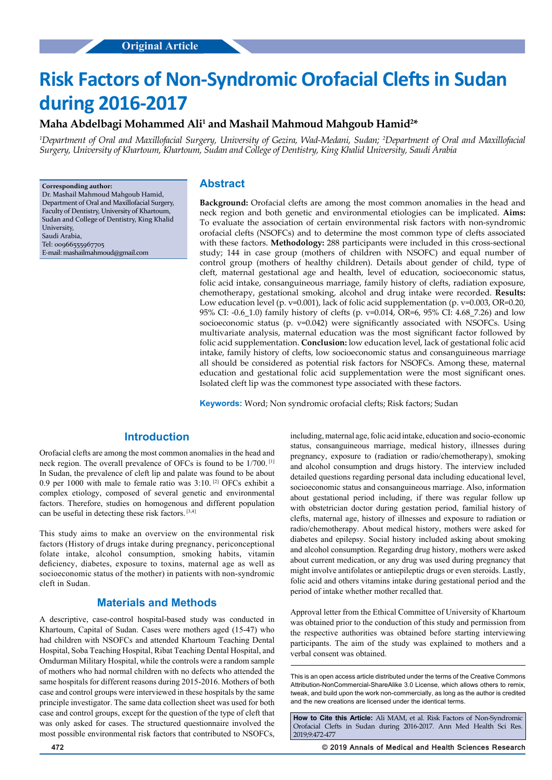# **Risk Factors of Non-Syndromic Orofacial Clefts in Sudan during 2016-2017**

# Maha Abdelbagi Mohammed Ali<sup>1</sup> and Mashail Mahmoud Mahgoub Hamid<sup>2</sup>\*

*1 Department of Oral and Maxillofacial Surgery, University of Gezira, Wad-Medani, Sudan; 2 Department of Oral and Maxillofacial Surgery, University of Khartoum, Khartoum, Sudan and College of Dentistry, King Khalid University, Saudi Arabia*

**Corresponding author:** Dr. Mashail Mahmoud Mahgoub Hamid, Department of Oral and Maxillofacial Surgery, Faculty of Dentistry, University of Khartoum, Sudan and College of Dentistry, King Khalid University, Saudi Arabia, Tel: 00966555967705 E-mail: mashailmahmoud@gmail.com

### **Abstract**

**Background:** Orofacial clefts are among the most common anomalies in the head and neck region and both genetic and environmental etiologies can be implicated. **Aims:** To evaluate the association of certain environmental risk factors with non-syndromic orofacial clefts (NSOFCs) and to determine the most common type of clefts associated with these factors. **Methodology:** 288 participants were included in this cross-sectional study; 144 in case group (mothers of children with NSOFC) and equal number of control group (mothers of healthy children). Details about gender of child, type of cleft, maternal gestational age and health, level of education, socioeconomic status, folic acid intake, consanguineous marriage, family history of clefts, radiation exposure, chemotherapy, gestational smoking, alcohol and drug intake were recorded. **Results:** Low education level (p. v=0.001), lack of folic acid supplementation (p. v=0.003, OR=0.20, 95% CI: -0.6\_1.0) family history of clefts (p. v=0.014, OR=6, 95% CI: 4.68\_7.26) and low socioeconomic status (p. v=0.042) were significantly associated with NSOFCs. Using multivariate analysis, maternal education was the most significant factor followed by folic acid supplementation. **Conclusion:** low education level, lack of gestational folic acid intake, family history of clefts, low socioeconomic status and consanguineous marriage all should be considered as potential risk factors for NSOFCs. Among these, maternal education and gestational folic acid supplementation were the most significant ones. Isolated cleft lip was the commonest type associated with these factors.

**Keywords:** Word; Non syndromic orofacial clefts; Risk factors; Sudan

# **Introduction**

Orofacial clefts are among the most common anomalies in the head and neck region. The overall prevalence of OFCs is found to be 1/700. [1] In Sudan, the prevalence of cleft lip and palate was found to be about 0.9 per 1000 with male to female ratio was 3:10. [2] OFCs exhibit a complex etiology, composed of several genetic and environmental factors. Therefore, studies on homogenous and different population can be useful in detecting these risk factors. [3,4]

This study aims to make an overview on the environmental risk factors (History of drugs intake during pregnancy, periconceptional folate intake, alcohol consumption, smoking habits, vitamin deficiency, diabetes, exposure to toxins, maternal age as well as socioeconomic status of the mother) in patients with non-syndromic cleft in Sudan.

### **Materials and Methods**

A descriptive, case-control hospital-based study was conducted in Khartoum, Capital of Sudan. Cases were mothers aged (15-47) who had children with NSOFCs and attended Khartoum Teaching Dental Hospital, Soba Teaching Hospital, Ribat Teaching Dental Hospital, and Omdurman Military Hospital, while the controls were a random sample of mothers who had normal children with no defects who attended the same hospitals for different reasons during 2015-2016. Mothers of both case and control groups were interviewed in these hospitals by the same principle investigator. The same data collection sheet was used for both case and control groups, except for the question of the type of cleft that was only asked for cases. The structured questionnaire involved the most possible environmental risk factors that contributed to NSOFCs,

including, maternal age, folic acid intake, education and socio-economic status, consanguineous marriage, medical history, illnesses during pregnancy, exposure to (radiation or radio/chemotherapy), smoking and alcohol consumption and drugs history. The interview included detailed questions regarding personal data including educational level, socioeconomic status and consanguineous marriage. Also, information about gestational period including, if there was regular follow up with obstetrician doctor during gestation period, familial history of clefts, maternal age, history of illnesses and exposure to radiation or radio/chemotherapy. About medical history, mothers were asked for diabetes and epilepsy. Social history included asking about smoking and alcohol consumption. Regarding drug history, mothers were asked about current medication, or any drug was used during pregnancy that might involve antifolates or antiepileptic drugs or even steroids. Lastly, folic acid and others vitamins intake during gestational period and the period of intake whether mother recalled that.

Approval letter from the Ethical Committee of University of Khartoum was obtained prior to the conduction of this study and permission from the respective authorities was obtained before starting interviewing participants. The aim of the study was explained to mothers and a verbal consent was obtained.

This is an open access article distributed under the terms of the Creative Commons Attribution‑NonCommercial‑ShareAlike 3.0 License, which allows others to remix, tweak, and build upon the work non‑commercially, as long as the author is credited and the new creations are licensed under the identical terms.

**How to Cite this Article:** Ali MAM, et al. Risk Factors of Non-Syndromic Orofacial Clefts in Sudan during 2016-2017. Ann Med Health Sci Res. 2019;9:472-477

**472 © 2019 Annals of Medical and Health Sciences Research**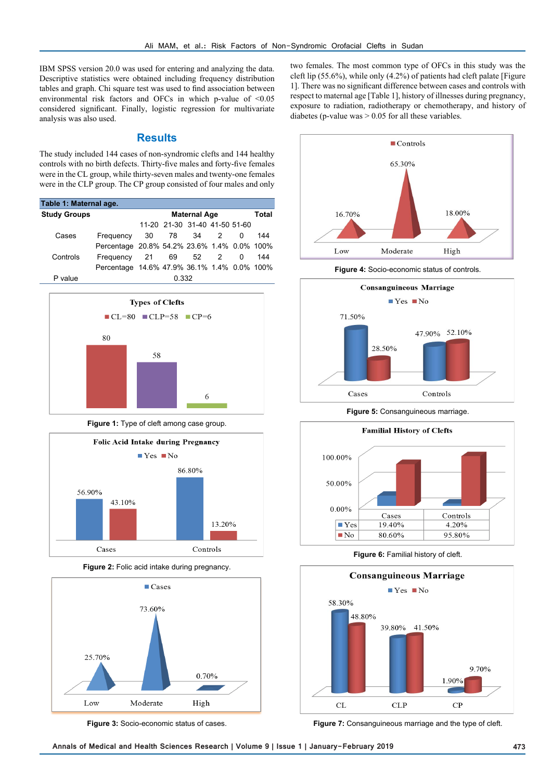IBM SPSS version 20.0 was used for entering and analyzing the data. Descriptive statistics were obtained including frequency distribution tables and graph. Chi square test was used to find association between environmental risk factors and OFCs in which p-value of <0.05 considered significant. Finally, logistic regression for multivariate analysis was also used.

#### **Results**

The study included 144 cases of non-syndromic clefts and 144 healthy controls with no birth defects. Thirty-five males and forty-five females were in the CL group, while thirty-seven males and twenty-one females were in the CLP group. The CP group consisted of four males and only

| Table 1: Maternal age. |                                             |    |                               |      |                |   |     |  |
|------------------------|---------------------------------------------|----|-------------------------------|------|----------------|---|-----|--|
| <b>Study Groups</b>    |                                             |    | Total                         |      |                |   |     |  |
|                        |                                             |    | 11-20 21-30 31-40 41-50 51-60 |      |                |   |     |  |
| Cases                  | Frequency                                   | 30 | 78                            | 34   | $\overline{2}$ | 0 | 144 |  |
|                        | Percentage 20.8% 54.2% 23.6% 1.4% 0.0% 100% |    |                               |      |                |   |     |  |
| Controls               | Frequency                                   | 21 | 69                            | 52 2 |                | 0 | 144 |  |
|                        | Percentage 14.6% 47.9% 36.1% 1.4% 0.0% 100% |    |                               |      |                |   |     |  |
| P value                | 0.332                                       |    |                               |      |                |   |     |  |



**Figure 1:** Type of cleft among case group.



**Figure 2:** Folic acid intake during pregnancy.



**Figure 3:** Socio-economic status of cases.

two females. The most common type of OFCs in this study was the cleft lip (55.6%), while only (4.2%) of patients had cleft palate [Figure 1]. There was no significant difference between cases and controls with respect to maternal age [Table 1], history of illnesses during pregnancy, exposure to radiation, radiotherapy or chemotherapy, and history of diabetes (p-value was  $> 0.05$  for all these variables.



**Figure 4:** Socio-economic status of controls.



**Figure 5:** Consanguineous marriage.



**Figure 6:** Familial history of cleft.



**Figure 7:** Consanguineous marriage and the type of cleft.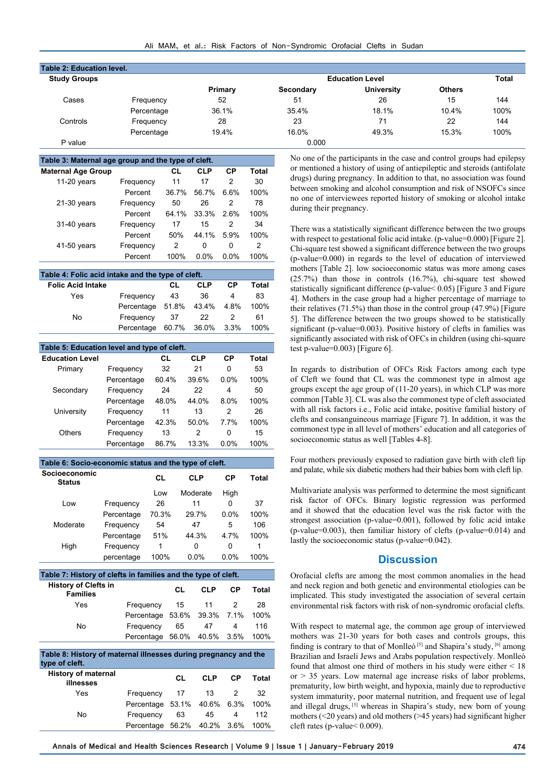| <b>Table 2: Education level.</b> |            |                        |           |                   |               |      |
|----------------------------------|------------|------------------------|-----------|-------------------|---------------|------|
| <b>Study Groups</b>              |            | <b>Education Level</b> |           |                   |               |      |
|                                  |            | Primary                | Secondary | <b>University</b> | <b>Others</b> |      |
| Cases                            | Frequency  | 52                     | 51        | 26                | 15            | 144  |
|                                  | Percentage | 36.1%                  | 35.4%     | 18.1%             | 10.4%         | 100% |
| Controls                         | Frequency  | 28                     | 23        | 71                | 22            | 144  |
|                                  | Percentage | 19.4%                  | 16.0%     | 49.3%             | 15.3%         | 100% |
| P value                          |            |                        | 0.000     |                   |               |      |

| Table 3: Maternal age group and the type of cleft. |           |       |            |         |       |  |  |
|----------------------------------------------------|-----------|-------|------------|---------|-------|--|--|
| <b>Maternal Age Group</b>                          |           | CL    | <b>CLP</b> | СP      | Total |  |  |
| 11-20 years                                        | Frequency | 11    | 17         | 2       | 30    |  |  |
|                                                    | Percent   | 36.7% | 56.7%      | 6.6%    | 100%  |  |  |
| $21-30$ years                                      | Frequency | 50    | 26         | 2       | 78    |  |  |
|                                                    | Percent   | 64.1% | 33.3%      | 2.6%    | 100%  |  |  |
| 31-40 years                                        | Frequency | 17    | 15         | 2       | 34    |  |  |
|                                                    | Percent   | 50%   | 44.1%      | 5.9%    | 100%  |  |  |
| 41-50 years                                        | Frequency | 2     | 0          | 0       | 2     |  |  |
|                                                    | Percent   | 100%  | $0.0\%$    | $0.0\%$ | 100%  |  |  |

| Table 4: Folic acid intake and the type of cleft. |                        |     |                  |       |       |  |  |
|---------------------------------------------------|------------------------|-----|------------------|-------|-------|--|--|
| <b>Folic Acid Intake</b>                          |                        | CL. | <b>CLP</b>       | СP    | Total |  |  |
| Yes                                               | Frequency              | 43  | 36               | 4     | 83    |  |  |
|                                                   | Percentage 51.8% 43.4% |     |                  | -4.8% | 100%  |  |  |
| No                                                | Frequency              | 37  | 22               | 2     | 61    |  |  |
|                                                   | Percentage             |     | 60.7% 36.0% 3.3% |       | 100%  |  |  |

| Table 5: Education level and type of cleft. |            |       |            |         |       |  |  |
|---------------------------------------------|------------|-------|------------|---------|-------|--|--|
| <b>Education Level</b>                      |            | CL    | <b>CLP</b> | СP      | Total |  |  |
| Primary                                     | Frequency  | 32    | 21         | 0       | 53    |  |  |
|                                             | Percentage | 60.4% | 39.6%      | $0.0\%$ | 100%  |  |  |
| Secondary                                   | Frequency  | 24    | 22         | 4       | 50    |  |  |
|                                             | Percentage | 48.0% | 44.0%      | 8.0%    | 100%  |  |  |
| University                                  | Frequency  | 11    | 13         | 2       | 26    |  |  |
|                                             | Percentage | 42.3% | 50.0%      | 7.7%    | 100%  |  |  |
| Others                                      | Frequency  | 13    | 2          | 0       | 15    |  |  |
|                                             | Percentage | 86.7% | 13.3%      | $0.0\%$ | 100%  |  |  |

| Table 6: Socio-economic status and the type of cleft.         |            |            |       |            |           |       |
|---------------------------------------------------------------|------------|------------|-------|------------|-----------|-------|
| <b>Socioeconomic</b><br><b>Status</b>                         |            | CL         |       | <b>CLP</b> | <b>CP</b> | Total |
|                                                               |            | Low        |       | Moderate   | High      |       |
| Low                                                           | Frequency  | 26         |       | 11         | 0         | 37    |
|                                                               | Percentage | 70.3%      |       | 29.7%      | $0.0\%$   | 100%  |
| Moderate                                                      | Frequency  | 54         |       | 47         | 5         | 106   |
|                                                               | Percentage | 51%        |       | 44.3%      | 4.7%      | 100%  |
| High                                                          | Frequency  | 1          |       | 0          | 0         | 1     |
|                                                               | percentage | 100%       |       | 0.0%       | $0.0\%$   | 100%  |
| Table 7: History of clefts in families and the type of cleft. |            |            |       |            |           |       |
| <b>History of Clefts in</b><br><b>Families</b>                |            |            | CL    | <b>CLP</b> | <b>CP</b> | Total |
| Yes                                                           |            | Frequency  | 15    | 11         | 2         | 28    |
|                                                               |            | Percentage | 53.6% | 39.3%      | 7.1%      | 100%  |
| No.                                                           |            | Frequency  | 65    | 47         | 4         | 116   |
|                                                               |            | Percentage | 56.0% | 40.5%      | 3.5%      | 100%  |
|                                                               |            |            |       |            |           |       |

| Table 8: History of maternal illnesses during pregnancy and the<br>type of cleft. |                             |     |            |           |       |
|-----------------------------------------------------------------------------------|-----------------------------|-----|------------|-----------|-------|
| <b>History of maternal</b><br>illnesses                                           |                             | CL. | <b>CLP</b> | <b>CP</b> | Total |
| Yes                                                                               | Frequency                   | -17 | 13         |           | 32    |
|                                                                                   | Percentage 53.1% 40.6% 6.3% |     |            |           | 100%  |
| No                                                                                | Frequency                   | 63  | 45         | 4         | 112   |
|                                                                                   | Percentage 56.2% 40.2% 3.6% |     |            |           | 100%  |

No one of the participants in the case and control groups had epilepsy or mentioned a history of using of antiepileptic and steroids (antifolate drugs) during pregnancy. In addition to that, no association was found between smoking and alcohol consumption and risk of NSOFCs since no one of interviewees reported history of smoking or alcohol intake during their pregnancy.

There was a statistically significant difference between the two groups with respect to gestational folic acid intake. (p-value=0.000) [Figure 2]. Chi-square test showed a significant difference between the two groups (p-value=0.000) in regards to the level of education of interviewed mothers [Table 2]. low socioeconomic status was more among cases (25.7%) than those in controls (16.7%), chi-square test showed statistically significant difference (p-value< 0.05) [Figure 3 and Figure 4]. Mothers in the case group had a higher percentage of marriage to their relatives (71.5%) than those in the control group (47.9%) [Figure 5]. The difference between the two groups showed to be statistically significant (p-value=0.003). Positive history of clefts in families was significantly associated with risk of OFCs in children (using chi-square test p-value=0.003) [Figure 6].

In regards to distribution of OFCs Risk Factors among each type of Cleft we found that CL was the commonest type in almost age groups except the age group of (11-20 years), in which CLP was more common [Table 3]. CL was also the commonest type of cleft associated with all risk factors i.e., Folic acid intake, positive familial history of clefts and consanguineous marriage [Figure 7]. In addition, it was the commonest type in all level of mothers' education and all categories of socioeconomic status as well [Tables 4-8].

Four mothers previously exposed to radiation gave birth with cleft lip and palate, while six diabetic mothers had their babies born with cleft lip.

Multivariate analysis was performed to determine the most significant risk factor of OFCs. Binary logistic regression was performed and it showed that the education level was the risk factor with the strongest association (p-value=0.001), followed by folic acid intake (p-value=0.003), then familiar history of clefts (p-value=0.014) and lastly the socioeconomic status (p-value=0.042).

#### **Discussion**

Orofacial clefts are among the most common anomalies in the head and neck region and both genetic and environmental etiologies can be implicated. This study investigated the association of several certain environmental risk factors with risk of non-syndromic orofacial clefts.

With respect to maternal age, the common age group of interviewed mothers was 21-30 years for both cases and controls groups, this finding is contrary to that of Monlleó<sup>[5]</sup> and Shapira's study, <sup>[6]</sup> among Brazilian and Israeli Jews and Arabs population respectively. Monlleó found that almost one third of mothers in his study were either < 18  $or > 35$  years. Low maternal age increase risks of labor problems, prematurity, low birth weight, and hypoxia, mainly due to reproductive system immaturity, poor maternal nutrition, and frequent use of legal and illegal drugs, <sup>[5]</sup> whereas in Shapira's study, new born of young mothers (<20 years) and old mothers (>45 years) had significant higher cleft rates (p-value< 0.009).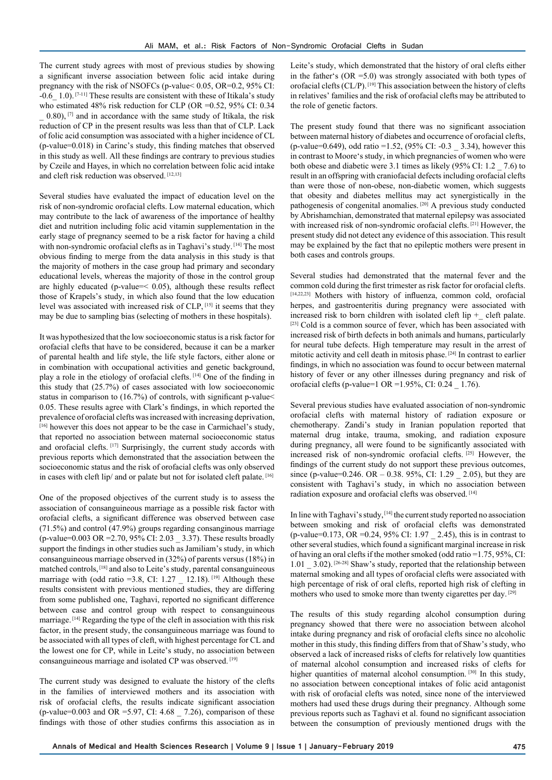The current study agrees with most of previous studies by showing a significant inverse association between folic acid intake during pregnancy with the risk of NSOFCs (p-value< 0.05, OR=0.2, 95% CI:  $-0.6$  1.0). [7-11] These results are consistent with these of Itikala's study who estimated 48% risk reduction for CLP (OR =0.52, 95% CI: 0.34  $(0.80)$ ,  $[7]$  and in accordance with the same study of Itikala, the risk reduction of CP in the present results was less than that of CLP. Lack of folic acid consumption was associated with a higher incidence of CL (p-value=0.018) in Carinc's study, this finding matches that observed in this study as well. All these findings are contrary to previous studies by Czeile and Hayes, in which no correlation between folic acid intake and cleft risk reduction was observed. [12,13]

Several studies have evaluated the impact of education level on the risk of non-syndromic orofacial clefts. Low maternal education, which may contribute to the lack of awareness of the importance of healthy diet and nutrition including folic acid vitamin supplementation in the early stage of pregnancy seemed to be a risk factor for having a child with non-syndromic orofacial clefts as in Taghavi's study.<sup>[14]</sup> The most obvious finding to merge from the data analysis in this study is that the majority of mothers in the case group had primary and secondary educational levels, whereas the majority of those in the control group are highly educated (p-value= $\leq$  0.05), although these results reflect those of Krapels's study, in which also found that the low education level was associated with increased risk of CLP, [15] it seems that they may be due to sampling bias (selecting of mothers in these hospitals).

It was hypothesized that the low socioeconomic status is a risk factor for orofacial clefts that have to be considered, because it can be a marker of parental health and life style, the life style factors, either alone or in combination with occupational activities and genetic background, play a role in the etiology of orofacial clefts. [14] One of the finding in this study that (25.7%) of cases associated with low socioeconomic status in comparison to (16.7%) of controls, with significant p-value< 0.05. These results agree with Clark's findings, in which reported the prevalence of orofacial clefts was increased with increasing deprivation, [16] however this does not appear to be the case in Carmichael's study, that reported no association between maternal socioeconomic status and orofacial clefts. [17] Surprisingly, the current study accords with previous reports which demonstrated that the association between the socioeconomic status and the risk of orofacial clefts was only observed in cases with cleft lip/ and or palate but not for isolated cleft palate.<sup>[16]</sup>

One of the proposed objectives of the current study is to assess the association of consanguineous marriage as a possible risk factor with orofacial clefts, a significant difference was observed between case (71.5%) and control (47.9%) groups regarding consanginous marriage (p-value=0.003 OR =2.70, 95% CI: 2.03 \_ 3.37). These results broadly support the findings in other studies such as Jamiliam's study, in which consanguineous marriage observed in (32%) of parents versus (18%) in matched controls, [18] and also to Leite's study, parental consanguineous marriage with (odd ratio =3.8, CI:  $1.27$   $12.18$ ). [19] Although these results consistent with previous mentioned studies, they are differing from some published one, Taghavi, reported no significant difference between case and control group with respect to consanguineous marriage. [14] Regarding the type of the cleft in association with this risk factor, in the present study, the consanguineous marriage was found to be associated with all types of cleft, with highest percentage for CL and the lowest one for CP, while in Leite's study, no association between consanguineous marriage and isolated CP was observed. [19]

The current study was designed to evaluate the history of the clefts in the families of interviewed mothers and its association with risk of orofacial clefts, the results indicate significant association (p-value=0.003 and OR =5.97, CI: 4.68 \_ 7.26), comparison of these findings with those of other studies confirms this association as in Leite's study, which demonstrated that the history of oral clefts either in the father's (OR =5.0) was strongly associated with both types of orofacial clefts (CL/P). [19] This association between the history of clefts in relatives' families and the risk of orofacial clefts may be attributed to the role of genetic factors.

The present study found that there was no significant association between maternal history of diabetes and occurrence of orofacial clefts, (p-value=0.649), odd ratio =1.52, (95% CI: -0.3 \_ 3.34), however this in contrast to Moore's study, in which pregnancies of women who were both obese and diabetic were 3.1 times as likely (95% CI: 1.2 \_ 7.6) to result in an offspring with craniofacial defects including orofacial clefts than were those of non-obese, non-diabetic women, which suggests that obesity and diabetes mellitus may act synergistically in the pathogenesis of congenital anomalies. [20] A previous study conducted by Abrishamchian, demonstrated that maternal epilepsy was associated with increased risk of non-syndromic orofacial clefts. [21] However, the present study did not detect any evidence of this association. This result may be explained by the fact that no epileptic mothers were present in both cases and controls groups.

Several studies had demonstrated that the maternal fever and the common cold during the first trimester as risk factor for orofacial clefts. [14,22,23] Mothers with history of influenza, common cold, orofacial herpes, and gastroenteritis during pregnancy were associated with increased risk to born children with isolated cleft lip  $+$  cleft palate. [23] Cold is a common source of fever, which has been associated with increased risk of birth defects in both animals and humans, particularly for neural tube defects. High temperature may result in the arrest of mitotic activity and cell death in mitosis phase. [24] In contrast to earlier findings, in which no association was found to occur between maternal history of fever or any other illnesses during pregnancy and risk of orofacial clefts (p-value= $1 \text{ OR } = 1.95\%$ , CI: 0.24  $\text{1.76}$ ).

Several previous studies have evaluated association of non-syndromic orofacial clefts with maternal history of radiation exposure or chemotherapy. Zandi's study in Iranian population reported that maternal drug intake, trauma, smoking, and radiation exposure during pregnancy, all were found to be significantly associated with increased risk of non-syndromic orofacial clefts. [25] However, the findings of the current study do not support these previous outcomes, since (p-value=0.246. OR – 0.38. 95%, CI: 1.29 \_ 2.05), but they are consistent with Taghavi's study, in which no association between radiation exposure and orofacial clefts was observed. [14]

In line with Taghavi's study, [14] the current study reported no association between smoking and risk of orofacial clefts was demonstrated (p-value=0.173, OR =0.24, 95% CI: 1.97 \_ 2.45), this is in contrast to other several studies, which found a significant marginal increase in risk of having an oral clefts if the mother smoked (odd ratio =1.75, 95%, CI: 1.01 \_ 3.02). [26-28] Shaw's study, reported that the relationship between maternal smoking and all types of orofacial clefts were associated with high percentage of risk of oral clefts, reported high risk of clefting in mothers who used to smoke more than twenty cigarettes per day. [29]

The results of this study regarding alcohol consumption during pregnancy showed that there were no association between alcohol intake during pregnancy and risk of orofacial clefts since no alcoholic mother in this study, this finding differs from that of Shaw's study, who observed a lack of increased risks of clefts for relatively low quantities of maternal alcohol consumption and increased risks of clefts for higher quantities of maternal alcohol consumption.<sup>[30]</sup> In this study, no association between conceptional intakes of folic acid antagonist with risk of orofacial clefts was noted, since none of the interviewed mothers had used these drugs during their pregnancy. Although some previous reports such as Taghavi et al. found no significant association between the consumption of previously mentioned drugs with the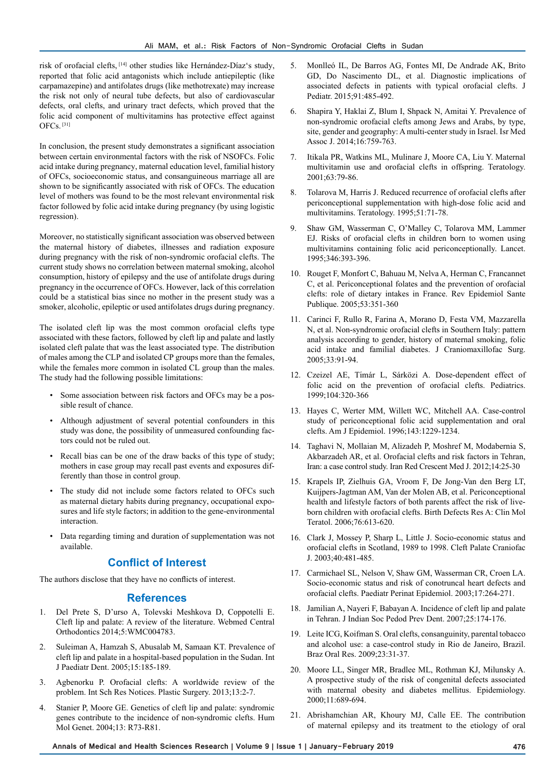risk of orofacial clefts, [14] other studies like Hernández-Díaz's study, reported that folic acid antagonists which include antiepileptic (like carpamazepine) and antifolates drugs (like methotrexate) may increase the risk not only of neural tube defects, but also of cardiovascular defects, oral clefts, and urinary tract defects, which proved that the folic acid component of multivitamins has protective effect against OFCs. [31]

In conclusion, the present study demonstrates a significant association between certain environmental factors with the risk of NSOFCs. Folic acid intake during pregnancy, maternal education level, familial history of OFCs, socioeconomic status, and consanguineous marriage all are shown to be significantly associated with risk of OFCs. The education level of mothers was found to be the most relevant environmental risk factor followed by folic acid intake during pregnancy (by using logistic regression).

Moreover, no statistically significant association was observed between the maternal history of diabetes, illnesses and radiation exposure during pregnancy with the risk of non-syndromic orofacial clefts. The current study shows no correlation between maternal smoking, alcohol consumption, history of epilepsy and the use of antifolate drugs during pregnancy in the occurrence of OFCs. However, lack of this correlation could be a statistical bias since no mother in the present study was a smoker, alcoholic, epileptic or used antifolates drugs during pregnancy.

The isolated cleft lip was the most common orofacial clefts type associated with these factors, followed by cleft lip and palate and lastly isolated cleft palate that was the least associated type. The distribution of males among the CLP and isolated CP groups more than the females, while the females more common in isolated CL group than the males. The study had the following possible limitations:

- Some association between risk factors and OFCs may be a possible result of chance.
- Although adjustment of several potential confounders in this study was done, the possibility of unmeasured confounding factors could not be ruled out.
- Recall bias can be one of the draw backs of this type of study; mothers in case group may recall past events and exposures differently than those in control group.
- The study did not include some factors related to OFCs such as maternal dietary habits during pregnancy, occupational exposures and life style factors; in addition to the gene-environmental interaction.
- Data regarding timing and duration of supplementation was not available.

### **Conflict of Interest**

The authors disclose that they have no conflicts of interest.

#### **References**

- 1. Del Prete S, D'urso A, Tolevski Meshkova D, Coppotelli E. Cleft lip and palate: A review of the literature. Webmed Central Orthodontics 2014;5:WMC004783.
- 2. Suleiman A, Hamzah S, Abusalab M, Samaan KT. Prevalence of cleft lip and palate in a hospital-based population in the Sudan. Int J Paediatr Dent. 2005;15:185-189.
- 3. Agbenorku P. Orofacial clefts: A worldwide review of the problem. Int Sch Res Notices. Plastic Surgery. 2013;13:2-7.
- 4. Stanier P, Moore GE. Genetics of cleft lip and palate: syndromic genes contribute to the incidence of non-syndromic clefts. Hum Mol Genet. 2004;13: R73-R81.
- 5. Monlleó IL, De Barros AG, Fontes MI, De Andrade AK, Brito GD, Do Nascimento DL, et al. Diagnostic implications of associated defects in patients with typical orofacial clefts. J Pediatr. 2015;91:485-492.
- 6. Shapira Y, Haklai Z, Blum I, Shpack N, Amitai Y. Prevalence of non-syndromic orofacial clefts among Jews and Arabs, by type, site, gender and geography: A multi-center study in Israel. Isr Med Assoc J. 2014;16:759-763.
- 7. Itikala PR, Watkins ML, Mulinare J, Moore CA, Liu Y. Maternal multivitamin use and orofacial clefts in offspring. Teratology. 2001;63:79-86.
- 8. Tolarova M, Harris J. Reduced recurrence of orofacial clefts after periconceptional supplementation with high-dose folic acid and multivitamins. Teratology. 1995;51:71-78.
- Shaw GM, Wasserman C, O'Malley C, Tolarova MM, Lammer EJ. Risks of orofacial clefts in children born to women using multivitamins containing folic acid periconceptionally. Lancet. 1995;346:393-396.
- 10. Rouget F, Monfort C, Bahuau M, Nelva A, Herman C, Francannet C, et al. Periconceptional folates and the prevention of orofacial clefts: role of dietary intakes in France. Rev Epidemiol Sante Publique. 2005;53:351-360
- 11. Carinci F, Rullo R, Farina A, Morano D, Festa VM, Mazzarella N, et al. Non-syndromic orofacial clefts in Southern Italy: pattern analysis according to gender, history of maternal smoking, folic acid intake and familial diabetes. J Craniomaxillofac Surg. 2005;33:91-94.
- 12. Czeizel AE, Tı́ már L, Sárközi A. Dose-dependent effect of folic acid on the prevention of orofacial clefts. Pediatrics. 1999;104:320-366
- 13. Hayes C, Werter MM, Willett WC, Mitchell AA. Case-control study of periconceptional folic acid supplementation and oral clefts. Am J Epidemiol. 1996;143:1229-1234.
- 14. Taghavi N, Mollaian M, Alizadeh P, Moshref M, Modabernia S, Akbarzadeh AR, et al. Orofacial clefts and risk factors in Tehran, Iran: a case control study. Iran Red Crescent Med J. 2012;14:25-30
- 15. Krapels IP, Zielhuis GA, Vroom F, De Jong-Van den Berg LT, Kuijpers-Jagtman AM, Van der Molen AB, et al. Periconceptional health and lifestyle factors of both parents affect the risk of liveborn children with orofacial clefts. Birth Defects Res A: Clin Mol Teratol. 2006;76:613-620.
- 16. Clark J, Mossey P, Sharp L, Little J. Socio-economic status and orofacial clefts in Scotland, 1989 to 1998. Cleft Palate Craniofac J. 2003;40:481-485.
- 17. Carmichael SL, Nelson V, Shaw GM, Wasserman CR, Croen LA. Socio-economic status and risk of conotruncal heart defects and orofacial clefts. Paediatr Perinat Epidemiol. 2003;17:264-271.
- 18. Jamilian A, Nayeri F, Babayan A. Incidence of cleft lip and palate in Tehran. J Indian Soc Pedod Prev Dent. 2007;25:174-176.
- 19. Leite ICG, Koifman S. Oral clefts, consanguinity, parental tobacco and alcohol use: a case-control study in Rio de Janeiro, Brazil. Braz Oral Res. 2009;23:31-37.
- 20. Moore LL, Singer MR, Bradlee ML, Rothman KJ, Milunsky A. A prospective study of the risk of congenital defects associated with maternal obesity and diabetes mellitus. Epidemiology. 2000;11:689-694.
- 21. Abrishamchian AR, Khoury MJ, Calle EE. The contribution of maternal epilepsy and its treatment to the etiology of oral